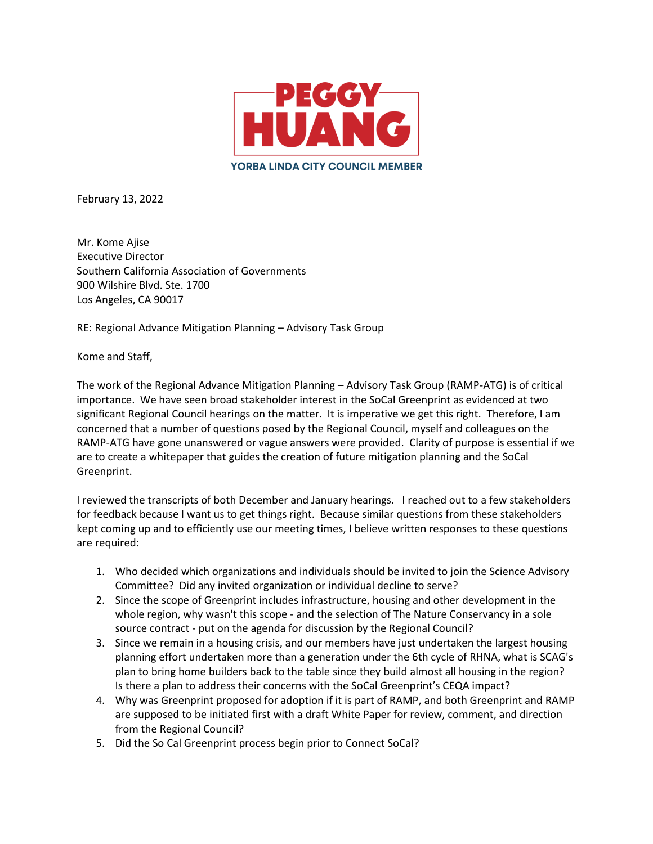

February 13, 2022

Mr. Kome Ajise Executive Director Southern California Association of Governments 900 Wilshire Blvd. Ste. 1700 Los Angeles, CA 90017

RE: Regional Advance Mitigation Planning – Advisory Task Group

Kome and Staff,

The work of the Regional Advance Mitigation Planning – Advisory Task Group (RAMP-ATG) is of critical importance. We have seen broad stakeholder interest in the SoCal Greenprint as evidenced at two significant Regional Council hearings on the matter. It is imperative we get this right. Therefore, I am concerned that a number of questions posed by the Regional Council, myself and colleagues on the RAMP-ATG have gone unanswered or vague answers were provided. Clarity of purpose is essential if we are to create a whitepaper that guides the creation of future mitigation planning and the SoCal Greenprint.

I reviewed the transcripts of both December and January hearings. I reached out to a few stakeholders for feedback because I want us to get things right. Because similar questions from these stakeholders kept coming up and to efficiently use our meeting times, I believe written responses to these questions are required:

- 1. Who decided which organizations and individuals should be invited to join the Science Advisory Committee? Did any invited organization or individual decline to serve?
- 2. Since the scope of Greenprint includes infrastructure, housing and other development in the whole region, why wasn't this scope - and the selection of The Nature Conservancy in a sole source contract - put on the agenda for discussion by the Regional Council?
- 3. Since we remain in a housing crisis, and our members have just undertaken the largest housing planning effort undertaken more than a generation under the 6th cycle of RHNA, what is SCAG's plan to bring home builders back to the table since they build almost all housing in the region? Is there a plan to address their concerns with the SoCal Greenprint's CEQA impact?
- 4. Why was Greenprint proposed for adoption if it is part of RAMP, and both Greenprint and RAMP are supposed to be initiated first with a draft White Paper for review, comment, and direction from the Regional Council?
- 5. Did the So Cal Greenprint process begin prior to Connect SoCal?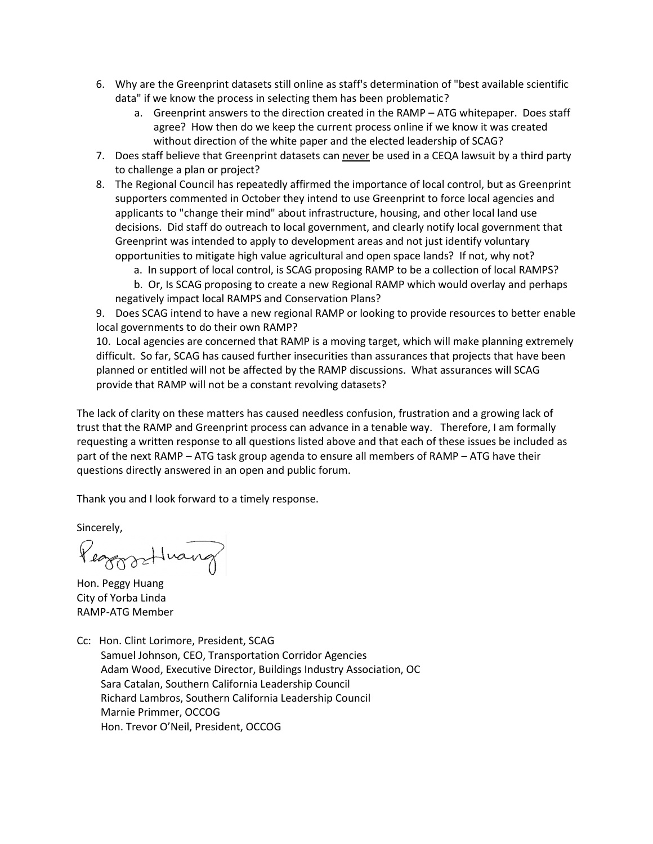- 6. Why are the Greenprint datasets still online as staff's determination of "best available scientific data" if we know the process in selecting them has been problematic?
	- a. Greenprint answers to the direction created in the RAMP ATG whitepaper. Does staff agree? How then do we keep the current process online if we know it was created without direction of the white paper and the elected leadership of SCAG?
- 7. Does staff believe that Greenprint datasets can never be used in a CEQA lawsuit by a third party to challenge a plan or project?
- 8. The Regional Council has repeatedly affirmed the importance of local control, but as Greenprint supporters commented in October they intend to use Greenprint to force local agencies and applicants to "change their mind" about infrastructure, housing, and other local land use decisions. Did staff do outreach to local government, and clearly notify local government that Greenprint was intended to apply to development areas and not just identify voluntary opportunities to mitigate high value agricultural and open space lands? If not, why not?
	- a. In support of local control, is SCAG proposing RAMP to be a collection of local RAMPS?
	- b. Or, Is SCAG proposing to create a new Regional RAMP which would overlay and perhaps negatively impact local RAMPS and Conservation Plans?

9. Does SCAG intend to have a new regional RAMP or looking to provide resources to better enable local governments to do their own RAMP?

10. Local agencies are concerned that RAMP is a moving target, which will make planning extremely difficult. So far, SCAG has caused further insecurities than assurances that projects that have been planned or entitled will not be affected by the RAMP discussions. What assurances will SCAG provide that RAMP will not be a constant revolving datasets?

The lack of clarity on these matters has caused needless confusion, frustration and a growing lack of trust that the RAMP and Greenprint process can advance in a tenable way. Therefore, I am formally requesting a written response to all questions listed above and that each of these issues be included as part of the next RAMP – ATG task group agenda to ensure all members of RAMP – ATG have their questions directly answered in an open and public forum.

Thank you and I look forward to a timely response.

Sincerely,

Peaggrathwang

Hon. Peggy Huang City of Yorba Linda RAMP-ATG Member

Cc: Hon. Clint Lorimore, President, SCAG Samuel Johnson, CEO, Transportation Corridor Agencies Adam Wood, Executive Director, Buildings Industry Association, OC Sara Catalan, Southern California Leadership Council Richard Lambros, Southern California Leadership Council Marnie Primmer, OCCOG Hon. Trevor O'Neil, President, OCCOG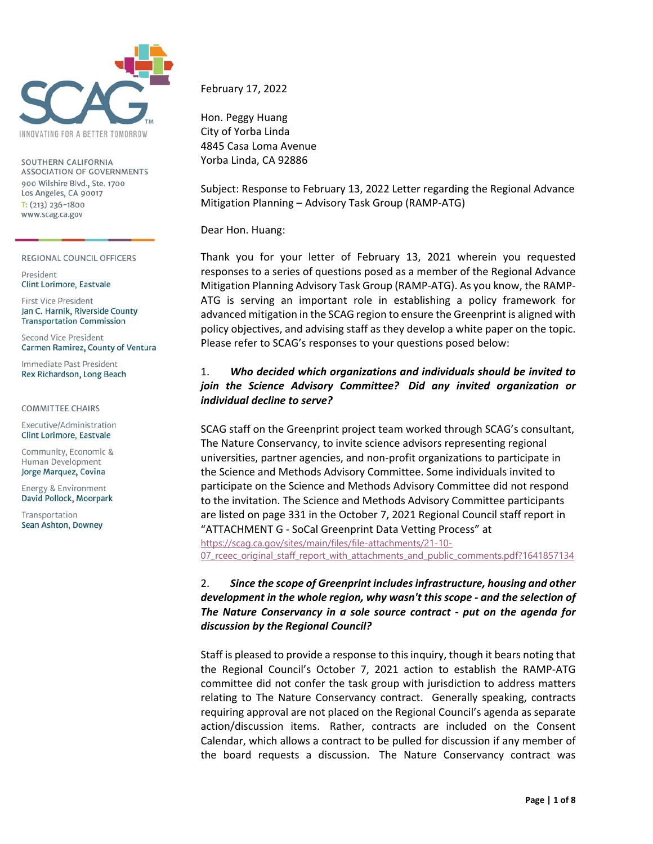

SOUTHERN CALIFORNIA ASSOCIATION OF GOVERNMENTS 900 Wilshire Blvd., Ste. 1700 Los Angeles, CA 90017  $T: (213)$  236-1800 www.scag.ca.gov

REGIONAL COUNCIL OFFICERS

President Clint Lorimore, Eastvale

First Vice President Jan C. Harnik, Riverside County **Transportation Commission** 

Second Vice President Carmen Ramirez, County of Ventura

Immediate Past President Rex Richardson, Long Beach

#### **COMMITTEE CHAIRS**

Executive/Administration Clint Lorimore, Eastvale

Community, Economic & Human Development Jorge Marquez, Covina

Energy & Environment David Pollock, Moorpark

Transportation Sean Ashton, Downey February 17, 2022

Hon. Peggy Huang City of Yorba Linda 4845 Casa Loma Avenue Yorba Linda, CA 92886

Subject: Response to February 13, 2022 Letter regarding the Regional Advance Mitigation Planning – Advisory Task Group (RAMP‐ATG)

Dear Hon. Huang:

Thank you for your letter of February 13, 2021 wherein you requested responses to a series of questions posed as a member of the Regional Advance Mitigation Planning Advisory Task Group (RAMP‐ATG). As you know, the RAMP‐ ATG is serving an important role in establishing a policy framework for advanced mitigation in the SCAG region to ensure the Greenprint is aligned with policy objectives, and advising staff as they develop a white paper on the topic. Please refer to SCAG's responses to your questions posed below:

#### 1. *Who decided which organizations and individuals should be invited to join the Science Advisory Committee? Did any invited organization or individual decline to serve?*

SCAG staff on the Greenprint project team worked through SCAG's consultant, The Nature Conservancy, to invite science advisors representing regional universities, partner agencies, and non‐profit organizations to participate in the Science and Methods Advisory Committee. Some individuals invited to participate on the Science and Methods Advisory Committee did not respond to the invitation. The Science and Methods Advisory Committee participants are listed on page 331 in the October 7, 2021 Regional Council staff report in "ATTACHMENT G ‐ SoCal Greenprint Data Vetting Process" at https://scag.ca.gov/sites/main/files/file-attachments/21-10- 07 rceec original staff report with attachments and public comments.pdf?1641857134

## 2. *Since the scope of Greenprint includes infrastructure, housing and other development in the whole region, why wasn't this scope ‐ and the selection of The Nature Conservancy in a sole source contract ‐ put on the agenda for discussion by the Regional Council?*

Staff is pleased to provide a response to this inquiry, though it bears noting that the Regional Council's October 7, 2021 action to establish the RAMP‐ATG committee did not confer the task group with jurisdiction to address matters relating to The Nature Conservancy contract. Generally speaking, contracts requiring approval are not placed on the Regional Council's agenda as separate action/discussion items. Rather, contracts are included on the Consent Calendar, which allows a contract to be pulled for discussion if any member of the board requests a discussion. The Nature Conservancy contract was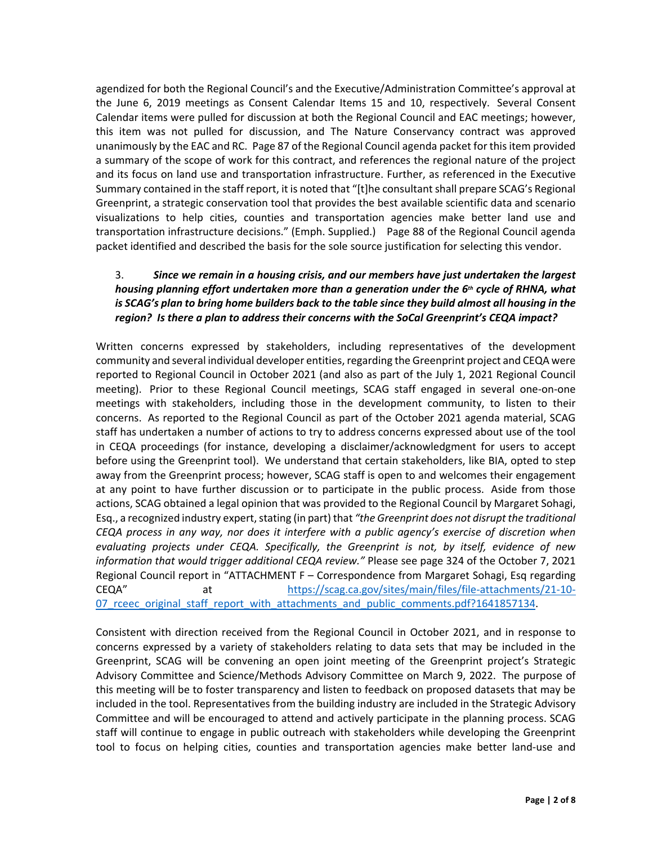agendized for both the Regional Council's and the Executive/Administration Committee's approval at the June 6, 2019 meetings as Consent Calendar Items 15 and 10, respectively. Several Consent Calendar items were pulled for discussion at both the Regional Council and EAC meetings; however, this item was not pulled for discussion, and The Nature Conservancy contract was approved unanimously by the EAC and RC. Page 87 of the Regional Council agenda packet for this item provided a summary of the scope of work for this contract, and references the regional nature of the project and its focus on land use and transportation infrastructure. Further, as referenced in the Executive Summary contained in the staff report, it is noted that "[t]he consultant shall prepare SCAG's Regional Greenprint, a strategic conservation tool that provides the best available scientific data and scenario visualizations to help cities, counties and transportation agencies make better land use and transportation infrastructure decisions." (Emph. Supplied.) Page 88 of the Regional Council agenda packet identified and described the basis for the sole source justification for selecting this vendor. 

# 3. *Since we remain in a housing crisis, and our members have just undertaken the largest housing planning effort undertaken more than a generation under the 6th cycle of RHNA, what is SCAG's plan to bring home builders back to the table since they build almost all housing in the region? Is there a plan to address their concerns with the SoCal Greenprint's CEQA impact?*

Written concerns expressed by stakeholders, including representatives of the development community and several individual developer entities, regarding the Greenprint project and CEQA were reported to Regional Council in October 2021 (and also as part of the July 1, 2021 Regional Council meeting). Prior to these Regional Council meetings, SCAG staff engaged in several one-on-one meetings with stakeholders, including those in the development community, to listen to their concerns. As reported to the Regional Council as part of the October 2021 agenda material, SCAG staff has undertaken a number of actions to try to address concerns expressed about use of the tool in CEQA proceedings (for instance, developing a disclaimer/acknowledgment for users to accept before using the Greenprint tool). We understand that certain stakeholders, like BIA, opted to step away from the Greenprint process; however, SCAG staff is open to and welcomes their engagement at any point to have further discussion or to participate in the public process. Aside from those actions, SCAG obtained a legal opinion that was provided to the Regional Council by Margaret Sohagi, Esq., a recognized industry expert, stating (in part) that *"the Greenprint does not disrupt the traditional CEQA process in any way, nor does it interfere with a public agency's exercise of discretion when evaluating projects under CEQA. Specifically, the Greenprint is not, by itself, evidence of new information that would trigger additional CEQA review."* Please see page 324 of the October 7, 2021 Regional Council report in "ATTACHMENT F – Correspondence from Margaret Sohagi, Esq regarding CEQA" at https://scag.ca.gov/sites/main/files/file-attachments/21-10-07\_rceec\_original\_staff\_report\_with\_attachments\_and\_public\_comments.pdf?1641857134.

Consistent with direction received from the Regional Council in October 2021, and in response to concerns expressed by a variety of stakeholders relating to data sets that may be included in the Greenprint, SCAG will be convening an open joint meeting of the Greenprint project's Strategic Advisory Committee and Science/Methods Advisory Committee on March 9, 2022. The purpose of this meeting will be to foster transparency and listen to feedback on proposed datasets that may be included in the tool. Representatives from the building industry are included in the Strategic Advisory Committee and will be encouraged to attend and actively participate in the planning process. SCAG staff will continue to engage in public outreach with stakeholders while developing the Greenprint tool to focus on helping cities, counties and transportation agencies make better land-use and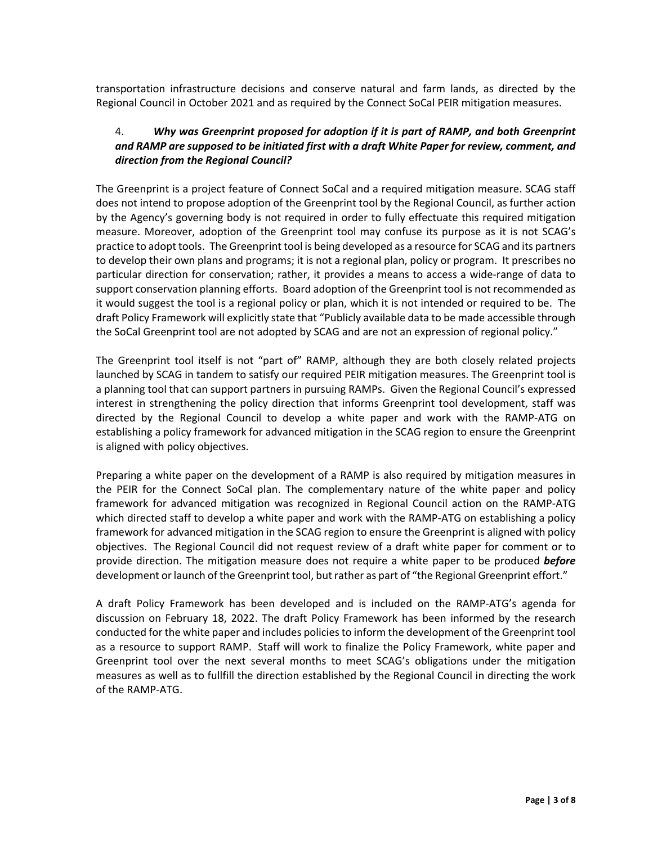transportation infrastructure decisions and conserve natural and farm lands, as directed by the Regional Council in October 2021 and as required by the Connect SoCal PEIR mitigation measures.

## 4. *Why was Greenprint proposed for adoption if it is part of RAMP, and both Greenprint and RAMP are supposed to be initiated first with a draft White Paper for review, comment, and direction from the Regional Council?*

The Greenprint is a project feature of Connect SoCal and a required mitigation measure. SCAG staff does not intend to propose adoption of the Greenprint tool by the Regional Council, as further action by the Agency's governing body is not required in order to fully effectuate this required mitigation measure. Moreover, adoption of the Greenprint tool may confuse its purpose as it is not SCAG's practice to adopt tools. The Greenprint tool is being developed as a resource for SCAG and its partners to develop their own plans and programs; it is not a regional plan, policy or program. It prescribes no particular direction for conservation; rather, it provides a means to access a wide-range of data to support conservation planning efforts. Board adoption of the Greenprint tool is not recommended as it would suggest the tool is a regional policy or plan, which it is not intended or required to be. The draft Policy Framework will explicitly state that "Publicly available data to be made accessible through the SoCal Greenprint tool are not adopted by SCAG and are not an expression of regional policy."

The Greenprint tool itself is not "part of" RAMP, although they are both closely related projects launched by SCAG in tandem to satisfy our required PEIR mitigation measures. The Greenprint tool is a planning tool that can support partners in pursuing RAMPs. Given the Regional Council's expressed interest in strengthening the policy direction that informs Greenprint tool development, staff was directed by the Regional Council to develop a white paper and work with the RAMP‐ATG on establishing a policy framework for advanced mitigation in the SCAG region to ensure the Greenprint is aligned with policy objectives.

Preparing a white paper on the development of a RAMP is also required by mitigation measures in the PEIR for the Connect SoCal plan. The complementary nature of the white paper and policy framework for advanced mitigation was recognized in Regional Council action on the RAMP‐ATG which directed staff to develop a white paper and work with the RAMP-ATG on establishing a policy framework for advanced mitigation in the SCAG region to ensure the Greenprint is aligned with policy objectives. The Regional Council did not request review of a draft white paper for comment or to provide direction. The mitigation measure does not require a white paper to be produced *before* development or launch of the Greenprint tool, but rather as part of "the Regional Greenprint effort."

A draft Policy Framework has been developed and is included on the RAMP‐ATG's agenda for discussion on February 18, 2022. The draft Policy Framework has been informed by the research conducted for the white paper and includes policies to inform the development of the Greenprint tool as a resource to support RAMP. Staff will work to finalize the Policy Framework, white paper and Greenprint tool over the next several months to meet SCAG's obligations under the mitigation measures as well as to fullfill the direction established by the Regional Council in directing the work of the RAMP‐ATG.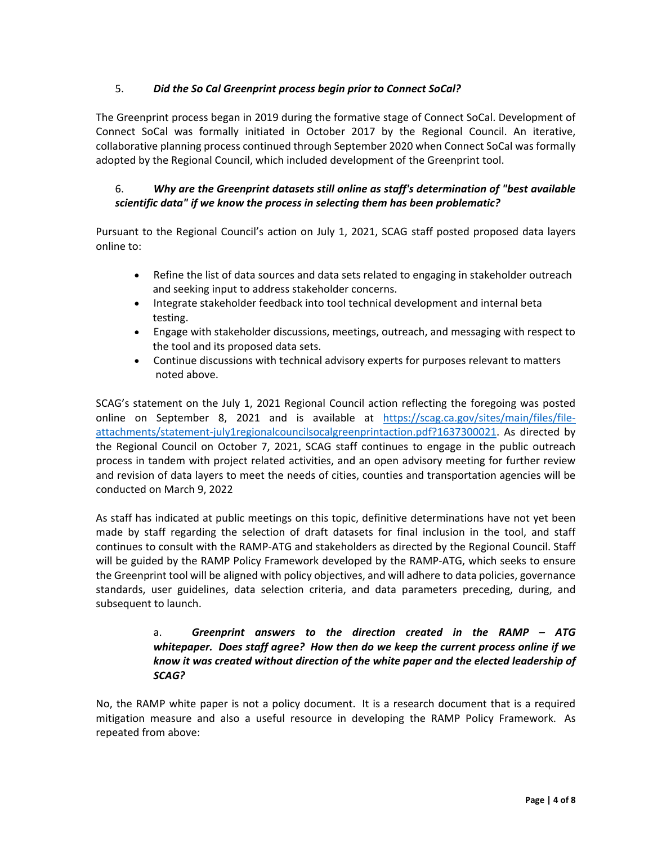## 5. *Did the So Cal Greenprint process begin prior to Connect SoCal?*

The Greenprint process began in 2019 during the formative stage of Connect SoCal. Development of Connect SoCal was formally initiated in October 2017 by the Regional Council. An iterative, collaborative planning process continued through September 2020 when Connect SoCal was formally adopted by the Regional Council, which included development of the Greenprint tool.

# 6. *Why are the Greenprint datasets still online as staff's determination of "best available scientific data" if we know the process in selecting them has been problematic?*

Pursuant to the Regional Council's action on July 1, 2021, SCAG staff posted proposed data layers online to:

- Refine the list of data sources and data sets related to engaging in stakeholder outreach and seeking input to address stakeholder concerns.
- Integrate stakeholder feedback into tool technical development and internal beta testing.
- Engage with stakeholder discussions, meetings, outreach, and messaging with respect to the tool and its proposed data sets.
- Continue discussions with technical advisory experts for purposes relevant to matters noted above.

SCAG's statement on the July 1, 2021 Regional Council action reflecting the foregoing was posted online on September 8, 2021 and is available at https://scag.ca.gov/sites/main/files/fileattachments/statement‐july1regionalcouncilsocalgreenprintaction.pdf?1637300021. As directed by the Regional Council on October 7, 2021, SCAG staff continues to engage in the public outreach process in tandem with project related activities, and an open advisory meeting for further review and revision of data layers to meet the needs of cities, counties and transportation agencies will be conducted on March 9, 2022

As staff has indicated at public meetings on this topic, definitive determinations have not yet been made by staff regarding the selection of draft datasets for final inclusion in the tool, and staff continues to consult with the RAMP‐ATG and stakeholders as directed by the Regional Council. Staff will be guided by the RAMP Policy Framework developed by the RAMP‐ATG, which seeks to ensure the Greenprint tool will be aligned with policy objectives, and will adhere to data policies, governance standards, user guidelines, data selection criteria, and data parameters preceding, during, and subsequent to launch.

## a. *Greenprint answers to the direction created in the RAMP – ATG whitepaper. Does staff agree? How then do we keep the current process online if we know it was created without direction of the white paper and the elected leadership of SCAG?*

No, the RAMP white paper is not a policy document. It is a research document that is a required mitigation measure and also a useful resource in developing the RAMP Policy Framework. As repeated from above: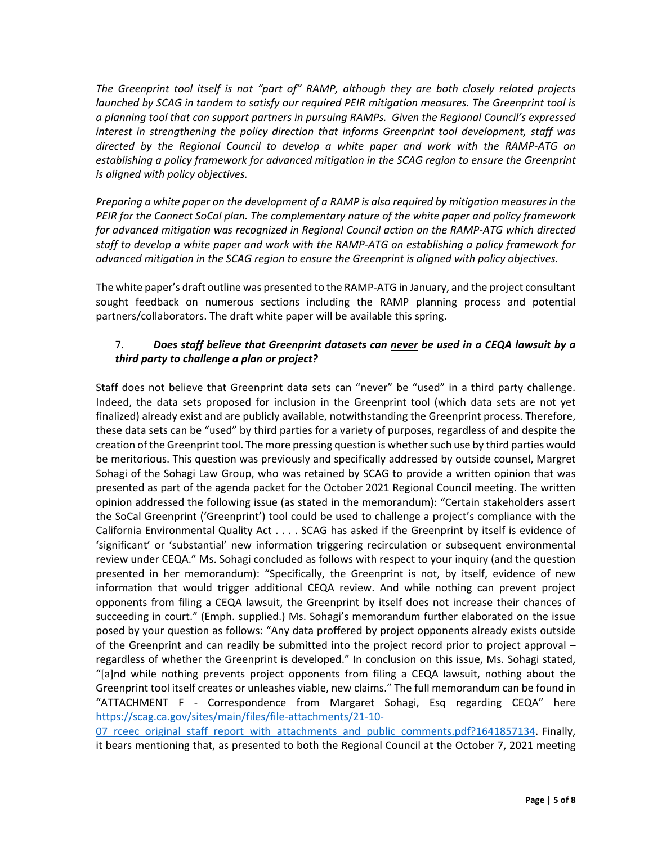*The Greenprint tool itself is not "part of" RAMP, although they are both closely related projects launched by SCAG in tandem to satisfy our required PEIR mitigation measures. The Greenprint tool is a planning tool that can support partners in pursuing RAMPs. Given the Regional Council's expressed interest in strengthening the policy direction that informs Greenprint tool development, staff was directed by the Regional Council to develop a white paper and work with the RAMP‐ATG on establishing a policy framework for advanced mitigation in the SCAG region to ensure the Greenprint is aligned with policy objectives.* 

*Preparing a white paper on the development of a RAMP is also required by mitigation measures in the PEIR for the Connect SoCal plan. The complementary nature of the white paper and policy framework for advanced mitigation was recognized in Regional Council action on the RAMP‐ATG which directed staff to develop a white paper and work with the RAMP‐ATG on establishing a policy framework for advanced mitigation in the SCAG region to ensure the Greenprint is aligned with policy objectives.*

The white paper's draft outline was presented to the RAMP‐ATG in January, and the project consultant sought feedback on numerous sections including the RAMP planning process and potential partners/collaborators. The draft white paper will be available this spring.

## 7. *Does staff believe that Greenprint datasets can never be used in a CEQA lawsuit by a third party to challenge a plan or project?*

Staff does not believe that Greenprint data sets can "never" be "used" in a third party challenge. Indeed, the data sets proposed for inclusion in the Greenprint tool (which data sets are not yet finalized) already exist and are publicly available, notwithstanding the Greenprint process. Therefore, these data sets can be "used" by third parties for a variety of purposes, regardless of and despite the creation of the Greenprint tool. The more pressing question is whether such use by third parties would be meritorious. This question was previously and specifically addressed by outside counsel, Margret Sohagi of the Sohagi Law Group, who was retained by SCAG to provide a written opinion that was presented as part of the agenda packet for the October 2021 Regional Council meeting. The written opinion addressed the following issue (as stated in the memorandum): "Certain stakeholders assert the SoCal Greenprint ('Greenprint') tool could be used to challenge a project's compliance with the California Environmental Quality Act . . . . SCAG has asked if the Greenprint by itself is evidence of 'significant' or 'substantial' new information triggering recirculation or subsequent environmental review under CEQA." Ms. Sohagi concluded as follows with respect to your inquiry (and the question presented in her memorandum): "Specifically, the Greenprint is not, by itself, evidence of new information that would trigger additional CEQA review. And while nothing can prevent project opponents from filing a CEQA lawsuit, the Greenprint by itself does not increase their chances of succeeding in court." (Emph. supplied.) Ms. Sohagi's memorandum further elaborated on the issue posed by your question as follows: "Any data proffered by project opponents already exists outside of the Greenprint and can readily be submitted into the project record prior to project approval regardless of whether the Greenprint is developed." In conclusion on this issue, Ms. Sohagi stated, "[a]nd while nothing prevents project opponents from filing a CEQA lawsuit, nothing about the Greenprint tool itself creates or unleashes viable, new claims." The full memorandum can be found in "ATTACHMENT F - Correspondence from Margaret Sohagi, Esq regarding CEQA" here https://scag.ca.gov/sites/main/files/file‐attachments/21‐10‐

07 rceec original staff report with attachments and public comments.pdf?1641857134. Finally, it bears mentioning that, as presented to both the Regional Council at the October 7, 2021 meeting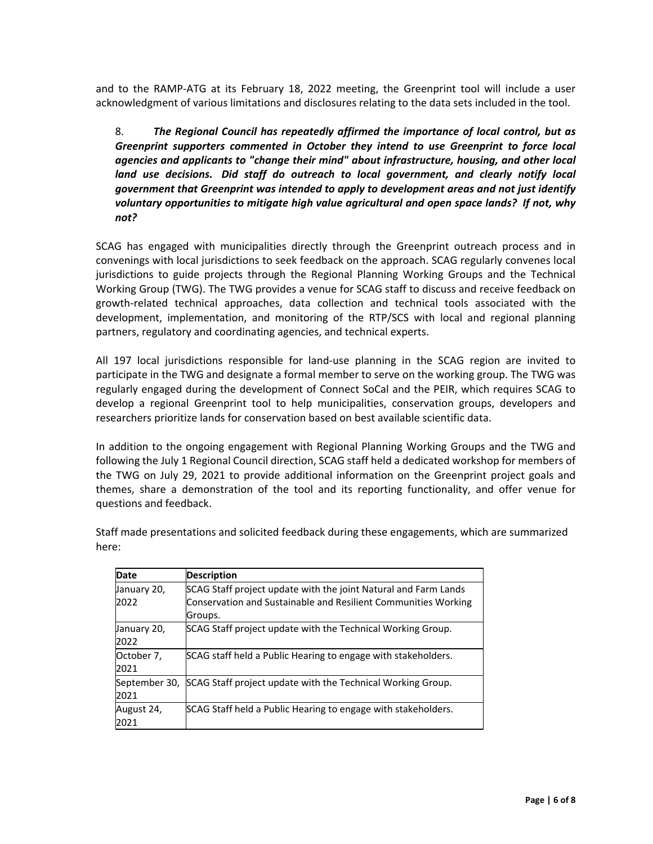and to the RAMP‐ATG at its February 18, 2022 meeting, the Greenprint tool will include a user acknowledgment of various limitations and disclosures relating to the data sets included in the tool.

8. *The Regional Council has repeatedly affirmed the importance of local control, but as Greenprint supporters commented in October they intend to use Greenprint to force local agencies and applicants to "change their mind" about infrastructure, housing, and other local*  land use decisions. Did staff do outreach to local government, and clearly notify local *government that Greenprint was intended to apply to development areas and not just identify voluntary opportunities to mitigate high value agricultural and open space lands? If not, why not?*

SCAG has engaged with municipalities directly through the Greenprint outreach process and in convenings with local jurisdictions to seek feedback on the approach. SCAG regularly convenes local jurisdictions to guide projects through the Regional Planning Working Groups and the Technical Working Group (TWG). The TWG provides a venue for SCAG staff to discuss and receive feedback on growth-related technical approaches, data collection and technical tools associated with the development, implementation, and monitoring of the RTP/SCS with local and regional planning partners, regulatory and coordinating agencies, and technical experts.

All 197 local jurisdictions responsible for land‐use planning in the SCAG region are invited to participate in the TWG and designate a formal member to serve on the working group. The TWG was regularly engaged during the development of Connect SoCal and the PEIR, which requires SCAG to develop a regional Greenprint tool to help municipalities, conservation groups, developers and researchers prioritize lands for conservation based on best available scientific data.

In addition to the ongoing engagement with Regional Planning Working Groups and the TWG and following the July 1 Regional Council direction, SCAG staff held a dedicated workshop for members of the TWG on July 29, 2021 to provide additional information on the Greenprint project goals and themes, share a demonstration of the tool and its reporting functionality, and offer venue for questions and feedback.

| <b>Date</b>   | <b>Description</b>                                              |
|---------------|-----------------------------------------------------------------|
| January 20,   | SCAG Staff project update with the joint Natural and Farm Lands |
| 2022          | Conservation and Sustainable and Resilient Communities Working  |
|               | Groups.                                                         |
| January 20,   | SCAG Staff project update with the Technical Working Group.     |
| 2022          |                                                                 |
| October 7,    | SCAG staff held a Public Hearing to engage with stakeholders.   |
| 2021          |                                                                 |
| September 30, | SCAG Staff project update with the Technical Working Group.     |
| 2021          |                                                                 |
| August 24,    | SCAG Staff held a Public Hearing to engage with stakeholders.   |
| 2021          |                                                                 |

Staff made presentations and solicited feedback during these engagements, which are summarized here: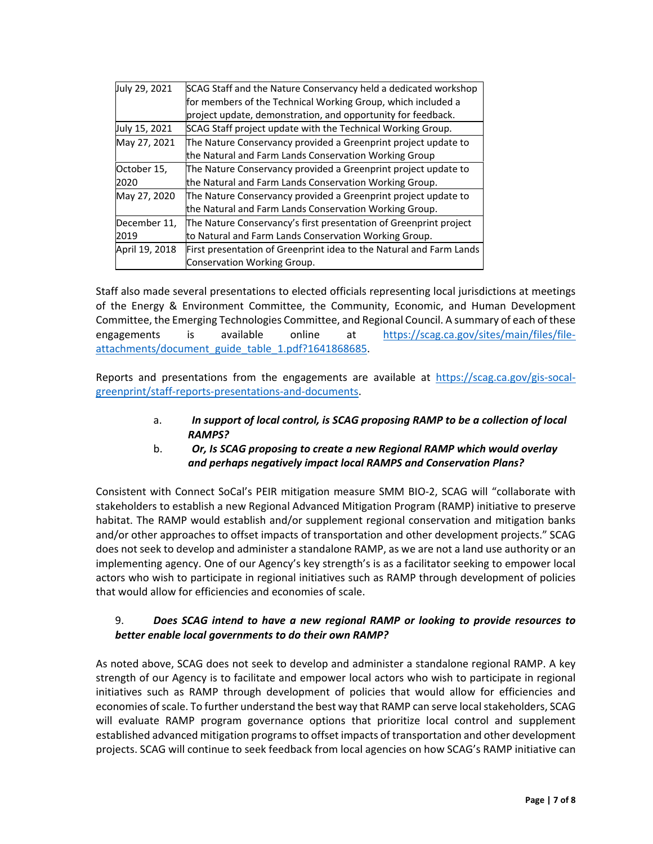| July 29, 2021  | SCAG Staff and the Nature Conservancy held a dedicated workshop     |
|----------------|---------------------------------------------------------------------|
|                | for members of the Technical Working Group, which included a        |
|                | project update, demonstration, and opportunity for feedback.        |
| July 15, 2021  | SCAG Staff project update with the Technical Working Group.         |
| May 27, 2021   | The Nature Conservancy provided a Greenprint project update to      |
|                | the Natural and Farm Lands Conservation Working Group               |
| October 15,    | The Nature Conservancy provided a Greenprint project update to      |
| 2020           | the Natural and Farm Lands Conservation Working Group.              |
| May 27, 2020   | The Nature Conservancy provided a Greenprint project update to      |
|                | the Natural and Farm Lands Conservation Working Group.              |
| December 11,   | The Nature Conservancy's first presentation of Greenprint project   |
| 2019           | to Natural and Farm Lands Conservation Working Group.               |
| April 19, 2018 | First presentation of Greenprint idea to the Natural and Farm Lands |
|                | Conservation Working Group.                                         |
|                |                                                                     |

Staff also made several presentations to elected officials representing local jurisdictions at meetings of the Energy & Environment Committee, the Community, Economic, and Human Development Committee, the Emerging Technologies Committee, and Regional Council. A summary of each of these engagements is available online at https://scag.ca.gov/sites/main/files/fileattachments/document\_guide\_table\_1.pdf?1641868685.

Reports and presentations from the engagements are available at https://scag.ca.gov/gis-socalgreenprint/staff‐reports‐presentations‐and‐documents.

- a. *In support of local control, is SCAG proposing RAMP to be a collection of local RAMPS?*
- b. *Or, Is SCAG proposing to create a new Regional RAMP which would overlay and perhaps negatively impact local RAMPS and Conservation Plans?*

Consistent with Connect SoCal's PEIR mitigation measure SMM BIO‐2, SCAG will "collaborate with stakeholders to establish a new Regional Advanced Mitigation Program (RAMP) initiative to preserve habitat. The RAMP would establish and/or supplement regional conservation and mitigation banks and/or other approaches to offset impacts of transportation and other development projects." SCAG does not seek to develop and administer a standalone RAMP, as we are not a land use authority or an implementing agency. One of our Agency's key strength's is as a facilitator seeking to empower local actors who wish to participate in regional initiatives such as RAMP through development of policies that would allow for efficiencies and economies of scale.

## 9. *Does SCAG intend to have a new regional RAMP or looking to provide resources to better enable local governments to do their own RAMP?*

As noted above, SCAG does not seek to develop and administer a standalone regional RAMP. A key strength of our Agency is to facilitate and empower local actors who wish to participate in regional initiatives such as RAMP through development of policies that would allow for efficiencies and economies of scale. To further understand the best way that RAMP can serve local stakeholders, SCAG will evaluate RAMP program governance options that prioritize local control and supplement established advanced mitigation programs to offset impacts of transportation and other development projects. SCAG will continue to seek feedback from local agencies on how SCAG's RAMP initiative can